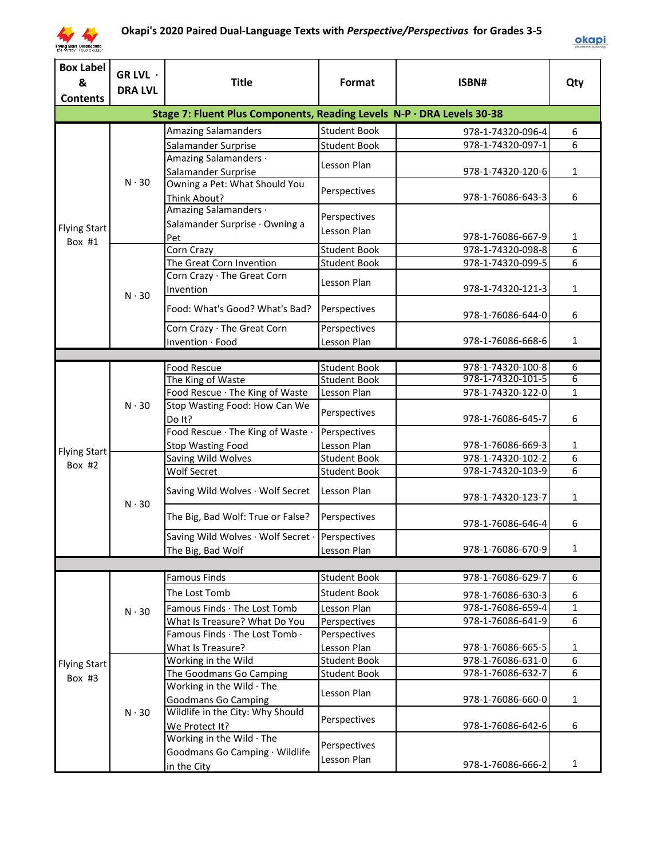

| <b>Box Label</b><br>&<br><b>Contents</b> | GR LVL ·<br><b>DRA LVL</b> | <b>Title</b>                                                           | Format              | ISBN#                                  | Qty          |
|------------------------------------------|----------------------------|------------------------------------------------------------------------|---------------------|----------------------------------------|--------------|
|                                          |                            | Stage 7: Fluent Plus Components, Reading Levels N-P · DRA Levels 30-38 |                     |                                        |              |
|                                          |                            | <b>Amazing Salamanders</b>                                             | <b>Student Book</b> | 978-1-74320-096-4                      | 6            |
|                                          |                            | Salamander Surprise                                                    | <b>Student Book</b> | 978-1-74320-097-1                      | 6            |
|                                          |                            | Amazing Salamanders ·                                                  |                     |                                        |              |
|                                          |                            | Salamander Surprise                                                    | Lesson Plan         | 978-1-74320-120-6                      | $\mathbf{1}$ |
|                                          | $N \cdot 30$               | Owning a Pet: What Should You                                          | Perspectives        |                                        |              |
|                                          |                            | Think About?                                                           |                     | 978-1-76086-643-3                      | 6            |
|                                          |                            | Amazing Salamanders ·                                                  | Perspectives        |                                        |              |
| <b>Flying Start</b>                      |                            | Salamander Surprise · Owning a                                         | Lesson Plan         |                                        |              |
| Box #1                                   |                            | Pet                                                                    |                     | 978-1-76086-667-9                      | $\mathbf{1}$ |
|                                          |                            | Corn Crazy                                                             | <b>Student Book</b> | 978-1-74320-098-8                      | 6            |
|                                          |                            | The Great Corn Invention<br>Corn Crazy · The Great Corn                | <b>Student Book</b> | 978-1-74320-099-5                      | 6            |
|                                          |                            | Invention                                                              | Lesson Plan         | 978-1-74320-121-3                      | $\mathbf{1}$ |
|                                          | $N \cdot 30$               |                                                                        |                     |                                        |              |
|                                          |                            | Food: What's Good? What's Bad?                                         | Perspectives        | 978-1-76086-644-0                      | 6            |
|                                          |                            | Corn Crazy · The Great Corn                                            | Perspectives        |                                        |              |
|                                          |                            | Invention · Food                                                       | Lesson Plan         | 978-1-76086-668-6                      | $\mathbf{1}$ |
|                                          |                            |                                                                        |                     |                                        |              |
|                                          |                            | <b>Food Rescue</b>                                                     | <b>Student Book</b> | 978-1-74320-100-8                      | 6            |
|                                          |                            | The King of Waste                                                      | <b>Student Book</b> | 978-1-74320-101-5                      | 6            |
|                                          |                            | Food Rescue · The King of Waste                                        | Lesson Plan         | 978-1-74320-122-0                      | $\mathbf{1}$ |
|                                          | $N \cdot 30$               | Stop Wasting Food: How Can We                                          | Perspectives        |                                        |              |
|                                          |                            | Do It?                                                                 |                     | 978-1-76086-645-7                      | 6            |
|                                          |                            | Food Rescue · The King of Waste ·                                      | Perspectives        |                                        |              |
| <b>Flying Start</b>                      |                            | Stop Wasting Food                                                      | Lesson Plan         | 978-1-76086-669-3                      | 1            |
| Box $#2$                                 |                            | Saving Wild Wolves                                                     | <b>Student Book</b> | 978-1-74320-102-2<br>978-1-74320-103-9 | 6<br>6       |
|                                          |                            | <b>Wolf Secret</b>                                                     | <b>Student Book</b> |                                        |              |
|                                          |                            | Saving Wild Wolves · Wolf Secret                                       | Lesson Plan         | 978-1-74320-123-7                      | $\mathbf{1}$ |
|                                          | $N \cdot 30$               |                                                                        |                     |                                        |              |
|                                          |                            | The Big, Bad Wolf: True or False?                                      | Perspectives        | 978-1-76086-646-4                      | 6            |
|                                          |                            | Saving Wild Wolves · Wolf Secret ·                                     | Perspectives        |                                        |              |
|                                          |                            | The Big, Bad Wolf                                                      | Lesson Plan         | 978-1-76086-670-9                      | $\mathbf{1}$ |
|                                          |                            |                                                                        |                     |                                        |              |
|                                          |                            | <b>Famous Finds</b>                                                    | <b>Student Book</b> | 978-1-76086-629-7                      | 6            |
|                                          |                            | The Lost Tomb                                                          | <b>Student Book</b> | 978-1-76086-630-3                      | 6            |
|                                          | $N \cdot 30$               | Famous Finds · The Lost Tomb                                           | Lesson Plan         | 978-1-76086-659-4                      | $\mathbf{1}$ |
|                                          |                            | What Is Treasure? What Do You                                          | Perspectives        | 978-1-76086-641-9                      | 6            |
|                                          |                            | Famous Finds · The Lost Tomb ·                                         | Perspectives        |                                        |              |
|                                          |                            | What Is Treasure?                                                      | Lesson Plan         | 978-1-76086-665-5                      | 1            |
| <b>Flying Start</b>                      |                            | Working in the Wild                                                    | <b>Student Book</b> | 978-1-76086-631-0                      | 6            |
| Box #3                                   |                            | The Goodmans Go Camping                                                | <b>Student Book</b> | 978-1-76086-632-7                      | 6            |
|                                          |                            | Working in the Wild · The                                              | Lesson Plan         |                                        |              |
|                                          |                            | <b>Goodmans Go Camping</b>                                             |                     | 978-1-76086-660-0                      | $\mathbf{1}$ |
|                                          | $N \cdot 30$               | Wildlife in the City: Why Should                                       | Perspectives        |                                        |              |
|                                          |                            | We Protect It?                                                         |                     | 978-1-76086-642-6                      | 6            |
|                                          |                            | Working in the Wild · The                                              | Perspectives        |                                        |              |
|                                          |                            | Goodmans Go Camping · Wildlife                                         | Lesson Plan         |                                        |              |
|                                          |                            | in the City                                                            |                     | 978-1-76086-666-2                      | $\mathbf{1}$ |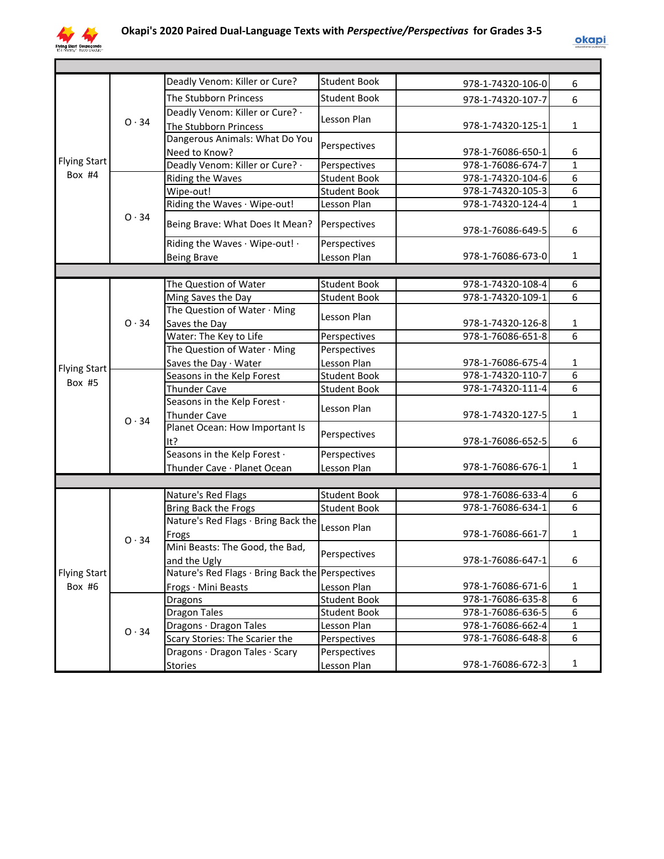

|                     |              | Deadly Venom: Killer or Cure?                       | <b>Student Book</b> | 978-1-74320-106-0 | 6              |
|---------------------|--------------|-----------------------------------------------------|---------------------|-------------------|----------------|
|                     |              | The Stubborn Princess                               | <b>Student Book</b> | 978-1-74320-107-7 | 6              |
|                     |              | Deadly Venom: Killer or Cure? .                     |                     |                   |                |
|                     | $O \cdot 34$ | The Stubborn Princess                               | Lesson Plan         | 978-1-74320-125-1 | $\mathbf{1}$   |
|                     |              | Dangerous Animals: What Do You                      |                     |                   |                |
|                     |              | Need to Know?                                       | Perspectives        | 978-1-76086-650-1 | 6              |
| <b>Flying Start</b> |              | Deadly Venom: Killer or Cure? .                     | Perspectives        | 978-1-76086-674-7 | $\mathbf{1}$   |
| Box #4              |              | Riding the Waves                                    | <b>Student Book</b> | 978-1-74320-104-6 | 6              |
|                     |              | Wipe-out!                                           | <b>Student Book</b> | 978-1-74320-105-3 | 6              |
|                     |              | Riding the Waves · Wipe-out!                        | Lesson Plan         | 978-1-74320-124-4 | $\mathbf{1}$   |
|                     | 0.34         | Being Brave: What Does It Mean?                     | Perspectives        | 978-1-76086-649-5 | 6              |
|                     |              | Riding the Waves · Wipe-out! ·                      | Perspectives        |                   |                |
|                     |              | <b>Being Brave</b>                                  | Lesson Plan         | 978-1-76086-673-0 | $\mathbf{1}$   |
|                     |              |                                                     |                     |                   |                |
|                     |              | The Question of Water                               | <b>Student Book</b> | 978-1-74320-108-4 | 6              |
|                     |              | Ming Saves the Day                                  | <b>Student Book</b> | 978-1-74320-109-1 | 6              |
|                     |              | The Question of Water · Ming                        | Lesson Plan         |                   |                |
|                     | 0.34         | Saves the Day                                       |                     | 978-1-74320-126-8 | $\mathbf{1}$   |
|                     |              | Water: The Key to Life                              | Perspectives        | 978-1-76086-651-8 | $\overline{6}$ |
|                     |              | The Question of Water · Ming                        | Perspectives        |                   |                |
| <b>Flying Start</b> |              | Saves the Day · Water                               | Lesson Plan         | 978-1-76086-675-4 | $\mathbf{1}$   |
| Box #5              |              | Seasons in the Kelp Forest                          | <b>Student Book</b> | 978-1-74320-110-7 | 6              |
|                     |              | <b>Thunder Cave</b>                                 | <b>Student Book</b> | 978-1-74320-111-4 | $\overline{6}$ |
|                     |              | Seasons in the Kelp Forest .<br><b>Thunder Cave</b> | Lesson Plan         | 978-1-74320-127-5 | $\mathbf{1}$   |
|                     | 0.34         | Planet Ocean: How Important Is<br>It?               | Perspectives        | 978-1-76086-652-5 | 6              |
|                     |              | Seasons in the Kelp Forest .                        | Perspectives        |                   |                |
|                     |              | Thunder Cave · Planet Ocean                         | Lesson Plan         | 978-1-76086-676-1 | $\mathbf{1}$   |
|                     |              |                                                     |                     |                   |                |
|                     |              | Nature's Red Flags                                  | <b>Student Book</b> | 978-1-76086-633-4 | 6              |
|                     |              | Bring Back the Frogs                                | <b>Student Book</b> | 978-1-76086-634-1 | 6              |
|                     |              | Nature's Red Flags · Bring Back the                 |                     |                   |                |
|                     |              | Frogs                                               | Lesson Plan         | 978-1-76086-661-7 | $\mathbf{1}$   |
|                     | 0.34         | Mini Beasts: The Good, the Bad,                     |                     |                   |                |
|                     |              | and the Ugly                                        | Perspectives        | 978-1-76086-647-1 | 6              |
| <b>Flying Start</b> |              | Nature's Red Flags · Bring Back the Perspectives    |                     |                   |                |
| Box #6              |              | Frogs · Mini Beasts                                 | Lesson Plan         | 978-1-76086-671-6 | $\mathbf{1}$   |
|                     |              | Dragons                                             | <b>Student Book</b> | 978-1-76086-635-8 | 6              |
|                     |              | <b>Dragon Tales</b>                                 | <b>Student Book</b> | 978-1-76086-636-5 | 6              |
|                     | $O \cdot 34$ | Dragons · Dragon Tales                              | Lesson Plan         | 978-1-76086-662-4 | $\mathbf{1}$   |
|                     |              | Scary Stories: The Scarier the                      | Perspectives        | 978-1-76086-648-8 | 6              |
|                     |              | Dragons · Dragon Tales · Scary                      | Perspectives        |                   |                |
|                     |              | Stories                                             | Lesson Plan         | 978-1-76086-672-3 | $\mathbf{1}$   |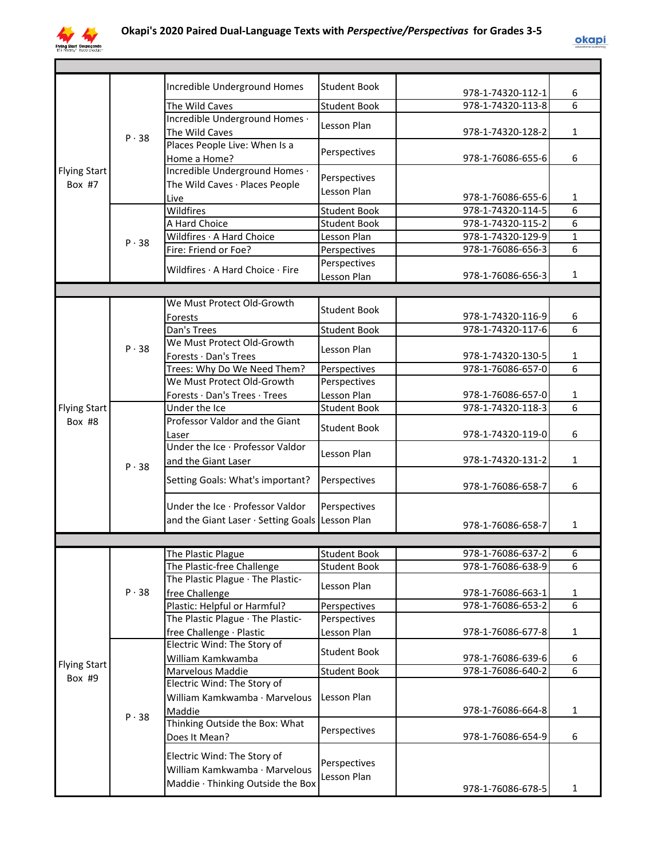

|                     |              | Incredible Underground Homes                    | <b>Student Book</b> | 978-1-74320-112-1 | 6            |
|---------------------|--------------|-------------------------------------------------|---------------------|-------------------|--------------|
|                     |              | The Wild Caves                                  | <b>Student Book</b> | 978-1-74320-113-8 | 6            |
|                     |              | Incredible Underground Homes .                  | Lesson Plan         |                   |              |
|                     | $P \cdot 38$ | The Wild Caves                                  |                     | 978-1-74320-128-2 | 1            |
|                     |              | Places People Live: When Is a                   | Perspectives        |                   |              |
|                     |              | Home a Home?                                    |                     | 978-1-76086-655-6 | 6            |
| <b>Flying Start</b> |              | Incredible Underground Homes .                  | Perspectives        |                   |              |
| Box #7              |              | The Wild Caves · Places People                  | Lesson Plan         |                   |              |
|                     |              | Live                                            |                     | 978-1-76086-655-6 | 1            |
|                     |              | Wildfires                                       | <b>Student Book</b> | 978-1-74320-114-5 | 6            |
|                     |              | A Hard Choice                                   | <b>Student Book</b> | 978-1-74320-115-2 | 6            |
|                     | P.38         | Wildfires · A Hard Choice                       | Lesson Plan         | 978-1-74320-129-9 | $\mathbf{1}$ |
|                     |              | Fire: Friend or Foe?                            | Perspectives        | 978-1-76086-656-3 | 6            |
|                     |              | Wildfires · A Hard Choice · Fire                | Perspectives        |                   |              |
|                     |              |                                                 | Lesson Plan         | 978-1-76086-656-3 | 1            |
|                     |              |                                                 |                     |                   |              |
|                     |              | We Must Protect Old-Growth                      | <b>Student Book</b> |                   |              |
|                     |              | Forests                                         |                     | 978-1-74320-116-9 | 6            |
|                     |              | Dan's Trees                                     | <b>Student Book</b> | 978-1-74320-117-6 | 6            |
|                     | $P \cdot 38$ | We Must Protect Old-Growth                      | Lesson Plan         |                   |              |
|                     |              | Forests · Dan's Trees                           |                     | 978-1-74320-130-5 | 1            |
|                     |              | Trees: Why Do We Need Them?                     | Perspectives        | 978-1-76086-657-0 | 6            |
|                     |              | We Must Protect Old-Growth                      | Perspectives        |                   |              |
|                     |              | Forests · Dan's Trees · Trees                   | Lesson Plan         | 978-1-76086-657-0 | 1            |
| <b>Flying Start</b> |              | Under the Ice                                   | <b>Student Book</b> | 978-1-74320-118-3 | 6            |
| Box #8              |              | Professor Valdor and the Giant                  | <b>Student Book</b> |                   |              |
|                     |              | Laser                                           |                     | 978-1-74320-119-0 | 6            |
|                     |              | Under the Ice · Professor Valdor                | Lesson Plan         |                   |              |
|                     | $P \cdot 38$ | and the Giant Laser                             |                     | 978-1-74320-131-2 | 1            |
|                     |              | Setting Goals: What's important?                | Perspectives        | 978-1-76086-658-7 | 6            |
|                     |              | Under the Ice · Professor Valdor                |                     |                   |              |
|                     |              |                                                 | Perspectives        |                   |              |
|                     |              | and the Giant Laser · Setting Goals Lesson Plan |                     | 978-1-76086-658-7 | 1            |
|                     |              |                                                 |                     |                   |              |
|                     |              | The Plastic Plague                              | <b>Student Book</b> | 978-1-76086-637-2 | 6            |
|                     |              | The Plastic-free Challenge                      | <b>Student Book</b> | 978-1-76086-638-9 | 6            |
|                     |              | The Plastic Plague · The Plastic-               | Lesson Plan         |                   |              |
|                     | $P \cdot 38$ | free Challenge                                  |                     | 978-1-76086-663-1 | 1            |
|                     |              | Plastic: Helpful or Harmful?                    | Perspectives        | 978-1-76086-653-2 | 6            |
|                     |              | The Plastic Plague · The Plastic-               | Perspectives        |                   |              |
|                     |              | free Challenge · Plastic                        | Lesson Plan         | 978-1-76086-677-8 | 1            |
|                     |              | Electric Wind: The Story of                     | <b>Student Book</b> |                   |              |
| <b>Flying Start</b> |              | William Kamkwamba                               |                     | 978-1-76086-639-6 | 6            |
| Box #9              |              | Marvelous Maddie                                | <b>Student Book</b> | 978-1-76086-640-2 | 6            |
|                     |              | Electric Wind: The Story of                     |                     |                   |              |
|                     |              | William Kamkwamba · Marvelous                   | Lesson Plan         |                   |              |
|                     | P.38         | Maddie                                          |                     | 978-1-76086-664-8 | 1            |
|                     |              | Thinking Outside the Box: What                  | Perspectives        |                   |              |
|                     |              | Does It Mean?                                   |                     | 978-1-76086-654-9 | 6            |
|                     |              | Electric Wind: The Story of                     |                     |                   |              |
|                     |              | William Kamkwamba · Marvelous                   | Perspectives        |                   |              |
|                     |              | Maddie · Thinking Outside the Box               | Lesson Plan         |                   |              |
|                     |              |                                                 |                     | 978-1-76086-678-5 | 1            |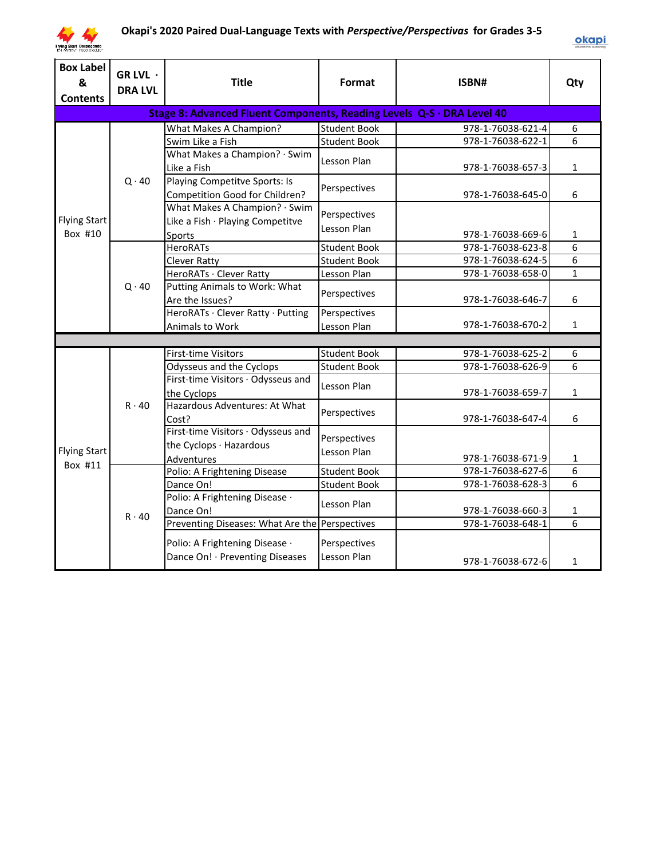

| <b>Box Label</b><br>&<br><b>Contents</b> | GR LVL ·<br><b>DRA LVL</b> | <b>Title</b>                                                                | Format                      | ISBN#             | Qty            |
|------------------------------------------|----------------------------|-----------------------------------------------------------------------------|-----------------------------|-------------------|----------------|
|                                          |                            | Stage 8: Advanced Fluent Components, Reading Levels Q-S · DRA Level 40      |                             |                   |                |
|                                          |                            | What Makes A Champion?                                                      | <b>Student Book</b>         | 978-1-76038-621-4 | 6              |
|                                          |                            | Swim Like a Fish                                                            | <b>Student Book</b>         | 978-1-76038-622-1 | $\overline{6}$ |
|                                          |                            | What Makes a Champion? · Swim<br>Like a Fish                                | Lesson Plan                 | 978-1-76038-657-3 | $\mathbf{1}$   |
|                                          | $Q \cdot 40$               | Playing Competitve Sports: Is<br>Competition Good for Children?             | Perspectives                | 978-1-76038-645-0 | 6              |
| <b>Flying Start</b><br>Box #10           |                            | What Makes A Champion? · Swim<br>Like a Fish · Playing Competitve<br>Sports | Perspectives<br>Lesson Plan | 978-1-76038-669-6 | $\mathbf{1}$   |
|                                          |                            | <b>HeroRATs</b>                                                             | <b>Student Book</b>         | 978-1-76038-623-8 | 6              |
|                                          |                            | <b>Clever Ratty</b>                                                         | <b>Student Book</b>         | 978-1-76038-624-5 | 6              |
|                                          |                            | HeroRATs · Clever Ratty                                                     | Lesson Plan                 | 978-1-76038-658-0 | $\mathbf{1}$   |
|                                          | $Q \cdot 40$               | Putting Animals to Work: What<br>Are the Issues?                            | Perspectives                | 978-1-76038-646-7 | 6              |
|                                          |                            | HeroRATs · Clever Ratty · Putting                                           | Perspectives                |                   |                |
|                                          |                            | Animals to Work                                                             | Lesson Plan                 | 978-1-76038-670-2 | $\mathbf{1}$   |
|                                          |                            |                                                                             |                             |                   |                |
|                                          |                            | <b>First-time Visitors</b>                                                  | <b>Student Book</b>         | 978-1-76038-625-2 | 6              |
|                                          |                            | Odysseus and the Cyclops                                                    | <b>Student Book</b>         | 978-1-76038-626-9 | 6              |
|                                          |                            | First-time Visitors · Odysseus and<br>the Cyclops                           | Lesson Plan                 | 978-1-76038-659-7 | $\mathbf{1}$   |
|                                          | $R \cdot 40$               | Hazardous Adventures: At What<br>Cost?                                      | Perspectives                | 978-1-76038-647-4 | 6              |
| <b>Flying Start</b>                      |                            | First-time Visitors · Odysseus and<br>the Cyclops · Hazardous               | Perspectives<br>Lesson Plan |                   |                |
| Box #11                                  |                            | Adventures                                                                  |                             | 978-1-76038-671-9 | $\mathbf 1$    |
|                                          |                            | Polio: A Frightening Disease                                                | <b>Student Book</b>         | 978-1-76038-627-6 | 6              |
|                                          |                            | Dance On!                                                                   | <b>Student Book</b>         | 978-1-76038-628-3 | 6              |
|                                          | $R \cdot 40$               | Polio: A Frightening Disease ·<br>Dance On!                                 | Lesson Plan                 | 978-1-76038-660-3 | $\mathbf{1}$   |
|                                          |                            | Preventing Diseases: What Are the Perspectives                              |                             | 978-1-76038-648-1 | 6              |
|                                          |                            | Polio: A Frightening Disease .<br>Dance On! · Preventing Diseases           | Perspectives<br>Lesson Plan | 978-1-76038-672-6 | $\mathbf{1}$   |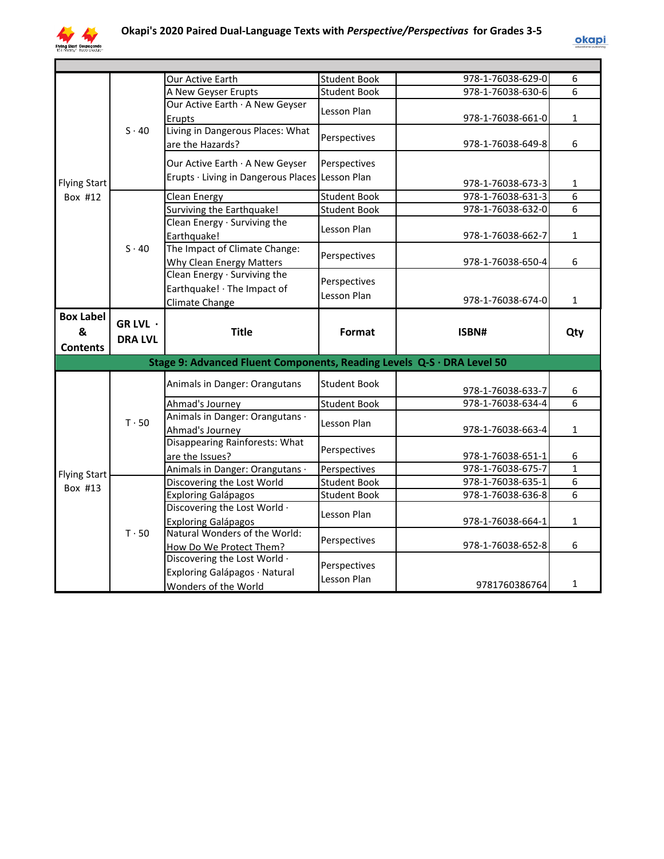

|                     |                  | <b>Our Active Earth</b>                                                | <b>Student Book</b>         | 978-1-76038-629-0 | 6              |
|---------------------|------------------|------------------------------------------------------------------------|-----------------------------|-------------------|----------------|
|                     |                  | A New Geyser Erupts                                                    | <b>Student Book</b>         | 978-1-76038-630-6 | $\overline{6}$ |
|                     | $S \cdot 40$     | Our Active Earth · A New Geyser                                        | Lesson Plan                 |                   |                |
|                     |                  | Erupts                                                                 |                             | 978-1-76038-661-0 | $\mathbf{1}$   |
|                     |                  | Living in Dangerous Places: What                                       | Perspectives                |                   |                |
|                     |                  | are the Hazards?                                                       |                             | 978-1-76038-649-8 | 6              |
|                     |                  | Our Active Earth · A New Geyser                                        | Perspectives                |                   |                |
|                     |                  | Erupts · Living in Dangerous Places Lesson Plan                        |                             |                   |                |
| <b>Flying Start</b> |                  |                                                                        |                             | 978-1-76038-673-3 | 1              |
| Box #12             |                  | Clean Energy                                                           | <b>Student Book</b>         | 978-1-76038-631-3 | 6              |
|                     |                  | Surviving the Earthquake!                                              | <b>Student Book</b>         | 978-1-76038-632-0 | 6              |
|                     |                  | Clean Energy · Surviving the                                           | Lesson Plan                 |                   |                |
|                     |                  | Earthquake!                                                            |                             | 978-1-76038-662-7 | $\mathbf{1}$   |
|                     | $S \cdot 40$     | The Impact of Climate Change:                                          | Perspectives                |                   |                |
|                     |                  | <b>Why Clean Energy Matters</b>                                        |                             | 978-1-76038-650-4 | 6              |
|                     |                  | Clean Energy · Surviving the                                           | Perspectives                |                   |                |
|                     |                  | Earthquake! · The Impact of                                            | Lesson Plan                 |                   |                |
|                     |                  | Climate Change                                                         |                             | 978-1-76038-674-0 | $\mathbf{1}$   |
| <b>Box Label</b>    | $GR$ LVL $\cdot$ |                                                                        |                             |                   |                |
|                     |                  |                                                                        |                             |                   |                |
| &                   |                  | <b>Title</b>                                                           | Format                      | ISBN#             | Qty            |
| <b>Contents</b>     | <b>DRA LVL</b>   |                                                                        |                             |                   |                |
|                     |                  |                                                                        |                             |                   |                |
|                     |                  | Stage 9: Advanced Fluent Components, Reading Levels Q-S · DRA Level 50 |                             |                   |                |
|                     |                  | Animals in Danger: Orangutans                                          | <b>Student Book</b>         |                   |                |
|                     |                  |                                                                        |                             | 978-1-76038-633-7 | 6              |
|                     |                  | Ahmad's Journey                                                        | <b>Student Book</b>         | 978-1-76038-634-4 | 6              |
|                     | $T \cdot 50$     | Animals in Danger: Orangutans ·                                        | Lesson Plan                 |                   |                |
|                     |                  | Ahmad's Journey                                                        |                             | 978-1-76038-663-4 | 1              |
|                     |                  | Disappearing Rainforests: What                                         | Perspectives                | 978-1-76038-651-1 | 6              |
|                     |                  | are the Issues?                                                        | Perspectives                | 978-1-76038-675-7 | $\mathbf{1}$   |
| <b>Flying Start</b> |                  | Animals in Danger: Orangutans ·                                        | <b>Student Book</b>         | 978-1-76038-635-1 | 6              |
| Box #13             |                  | Discovering the Lost World                                             | <b>Student Book</b>         | 978-1-76038-636-8 | 6              |
|                     |                  | <b>Exploring Galápagos</b><br>Discovering the Lost World ·             |                             |                   |                |
|                     |                  |                                                                        | Lesson Plan                 | 978-1-76038-664-1 | $\mathbf{1}$   |
|                     | $T \cdot 50$     | <b>Exploring Galápagos</b><br>Natural Wonders of the World:            |                             |                   |                |
|                     |                  | How Do We Protect Them?                                                | Perspectives                | 978-1-76038-652-8 | 6              |
|                     |                  | Discovering the Lost World .                                           |                             |                   |                |
|                     |                  | Exploring Galápagos · Natural                                          | Perspectives<br>Lesson Plan |                   |                |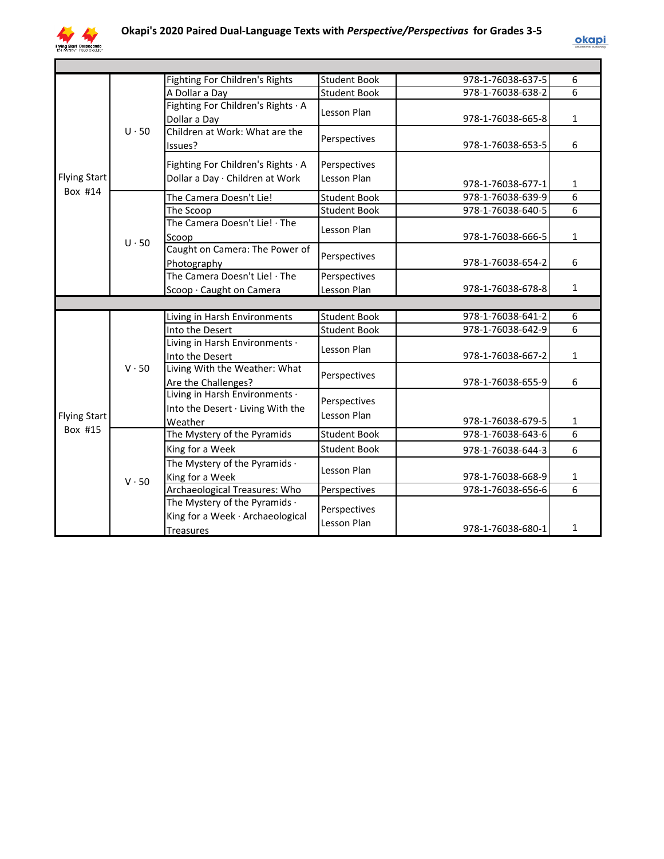

|                     |              | <b>Fighting For Children's Rights</b> | <b>Student Book</b> | 978-1-76038-637-5 | 6              |
|---------------------|--------------|---------------------------------------|---------------------|-------------------|----------------|
|                     |              | A Dollar a Day                        | <b>Student Book</b> | 978-1-76038-638-2 | 6              |
|                     |              | Fighting For Children's Rights · A    | Lesson Plan         |                   |                |
|                     |              | Dollar a Day                          |                     | 978-1-76038-665-8 | $\mathbf{1}$   |
|                     | $U \cdot 50$ | Children at Work: What are the        | Perspectives        |                   |                |
|                     |              | Issues?                               |                     | 978-1-76038-653-5 | 6              |
|                     |              | Fighting For Children's Rights · A    | Perspectives        |                   |                |
| <b>Flying Start</b> |              | Dollar a Day · Children at Work       | Lesson Plan         |                   |                |
| Box #14             |              |                                       |                     | 978-1-76038-677-1 | $\mathbf{1}$   |
|                     |              | The Camera Doesn't Lie!               | <b>Student Book</b> | 978-1-76038-639-9 | $\overline{6}$ |
|                     |              | The Scoop                             | <b>Student Book</b> | 978-1-76038-640-5 | $\overline{6}$ |
|                     |              | The Camera Doesn't Lie! · The         | Lesson Plan         |                   |                |
|                     | $U \cdot 50$ | Scoop                                 |                     | 978-1-76038-666-5 | $\mathbf{1}$   |
|                     |              | Caught on Camera: The Power of        | Perspectives        |                   |                |
|                     |              | Photography                           |                     | 978-1-76038-654-2 | 6              |
|                     |              | The Camera Doesn't Lie! · The         | Perspectives        |                   |                |
|                     |              | Scoop · Caught on Camera              | Lesson Plan         | 978-1-76038-678-8 | $\mathbf{1}$   |
|                     |              |                                       |                     |                   |                |
|                     |              | Living in Harsh Environments          | <b>Student Book</b> | 978-1-76038-641-2 | 6              |
|                     |              | Into the Desert                       | <b>Student Book</b> | 978-1-76038-642-9 | 6              |
|                     |              | Living in Harsh Environments ·        | Lesson Plan         |                   |                |
|                     |              | Into the Desert                       |                     | 978-1-76038-667-2 | $\mathbf{1}$   |
|                     | $V \cdot 50$ | Living With the Weather: What         | Perspectives        |                   |                |
|                     |              | Are the Challenges?                   |                     | 978-1-76038-655-9 | 6              |
|                     |              | Living in Harsh Environments ·        | Perspectives        |                   |                |
| <b>Flying Start</b> |              | Into the Desert · Living With the     | Lesson Plan         |                   |                |
| Box #15             |              | Weather                               |                     | 978-1-76038-679-5 | $\mathbf{1}$   |
|                     |              | The Mystery of the Pyramids           | <b>Student Book</b> | 978-1-76038-643-6 | $\overline{6}$ |
|                     |              | King for a Week                       | <b>Student Book</b> | 978-1-76038-644-3 | 6              |
|                     |              | The Mystery of the Pyramids .         | Lesson Plan         |                   |                |
|                     | $V \cdot 50$ | King for a Week                       |                     | 978-1-76038-668-9 | 1              |
|                     |              | Archaeological Treasures: Who         | Perspectives        | 978-1-76038-656-6 | $\overline{6}$ |
|                     |              | The Mystery of the Pyramids $\cdot$   | Perspectives        |                   |                |
|                     |              | King for a Week · Archaeological      | Lesson Plan         |                   |                |
|                     |              | <b>Treasures</b>                      |                     | 978-1-76038-680-1 | 1              |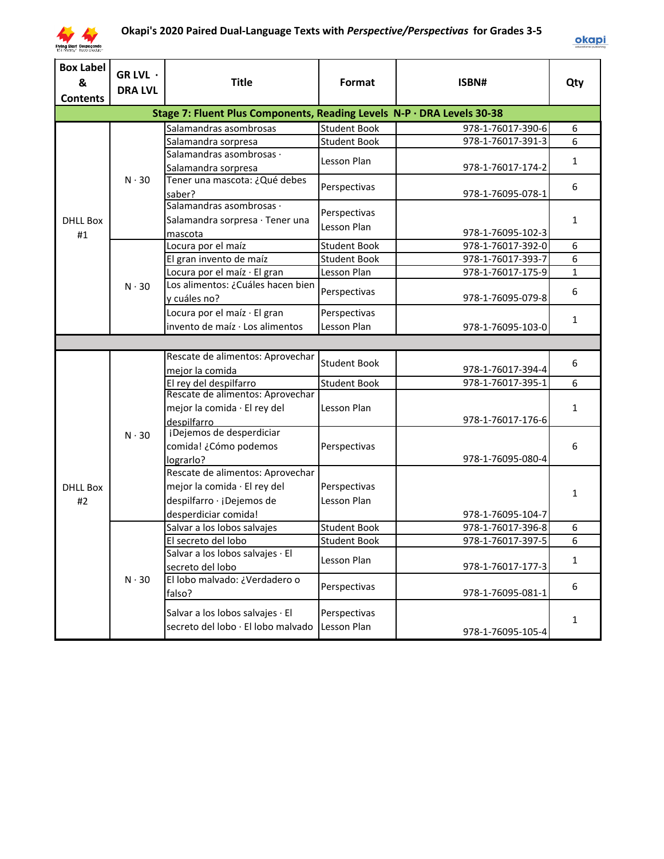

| <b>Box Label</b><br>&<br><b>Contents</b> | GR LVL $\cdot$<br><b>DRA LVL</b> | <b>Title</b>                                                                                                          | Format                      | ISBN#             | Qty              |
|------------------------------------------|----------------------------------|-----------------------------------------------------------------------------------------------------------------------|-----------------------------|-------------------|------------------|
|                                          |                                  | Stage 7: Fluent Plus Components, Reading Levels N-P · DRA Levels 30-38                                                |                             |                   |                  |
|                                          |                                  | Salamandras asombrosas                                                                                                | Student Book                | 978-1-76017-390-6 | 6                |
|                                          |                                  | Salamandra sorpresa                                                                                                   | <b>Student Book</b>         | 978-1-76017-391-3 | 6                |
|                                          |                                  | Salamandras asombrosas ·<br>Salamandra sorpresa                                                                       | Lesson Plan                 | 978-1-76017-174-2 | $\mathbf{1}$     |
|                                          | $N \cdot 30$                     | Tener una mascota: ¿Qué debes<br>saber?                                                                               | Perspectivas                | 978-1-76095-078-1 | 6                |
| <b>DHLL Box</b>                          |                                  | Salamandras asombrosas ·<br>Salamandra sorpresa · Tener una                                                           | Perspectivas<br>Lesson Plan |                   | $\mathbf{1}$     |
| #1                                       |                                  | mascota                                                                                                               |                             | 978-1-76095-102-3 |                  |
|                                          |                                  | Locura por el maíz                                                                                                    | <b>Student Book</b>         | 978-1-76017-392-0 | 6                |
|                                          |                                  | El gran invento de maíz                                                                                               | <b>Student Book</b>         | 978-1-76017-393-7 | 6                |
|                                          |                                  | Locura por el maíz · El gran                                                                                          | Lesson Plan                 | 978-1-76017-175-9 | $\mathbf{1}$     |
|                                          | $N \cdot 30$                     | Los alimentos: ¿Cuáles hacen bien<br>y cuáles no?                                                                     | Perspectivas                | 978-1-76095-079-8 | 6                |
|                                          |                                  | Locura por el maíz · El gran<br>invento de maíz · Los alimentos                                                       | Perspectivas<br>Lesson Plan | 978-1-76095-103-0 | $\mathbf{1}$     |
|                                          |                                  |                                                                                                                       |                             |                   |                  |
|                                          |                                  | Rescate de alimentos: Aprovechar<br>mejor la comida                                                                   | <b>Student Book</b>         | 978-1-76017-394-4 | 6                |
|                                          |                                  | El rey del despilfarro                                                                                                | <b>Student Book</b>         | 978-1-76017-395-1 | 6                |
|                                          |                                  | Rescate de alimentos: Aprovechar<br>mejor la comida · El rey del<br>despilfarro                                       | Lesson Plan                 | 978-1-76017-176-6 | $\mathbf{1}$     |
|                                          | $N \cdot 30$                     | ¡Dejemos de desperdiciar<br>comida! ¿Cómo podemos<br>lograrlo?                                                        | Perspectivas                | 978-1-76095-080-4 | 6                |
| <b>DHLL Box</b><br>#2                    |                                  | Rescate de alimentos: Aprovechar<br>mejor la comida · El rey del<br>despilfarro · ¡Dejemos de<br>desperdiciar comida! | Perspectivas<br>Lesson Plan | 978-1-76095-104-7 | 1                |
|                                          |                                  | Salvar a los lobos salvajes                                                                                           | <b>Student Book</b>         | 978-1-76017-396-8 | 6                |
|                                          |                                  | El secreto del lobo                                                                                                   | <b>Student Book</b>         | 978-1-76017-397-5 | $\boldsymbol{6}$ |
|                                          |                                  | Salvar a los lobos salvajes · El<br>secreto del lobo                                                                  | Lesson Plan                 | 978-1-76017-177-3 | $\mathbf{1}$     |
|                                          | $N \cdot 30$                     | El lobo malvado: ¿Verdadero o<br>falso?                                                                               | Perspectivas                | 978-1-76095-081-1 | 6                |
|                                          |                                  | Salvar a los lobos salvajes · El<br>secreto del lobo · El lobo malvado                                                | Perspectivas<br>Lesson Plan | 978-1-76095-105-4 | $\mathbf{1}$     |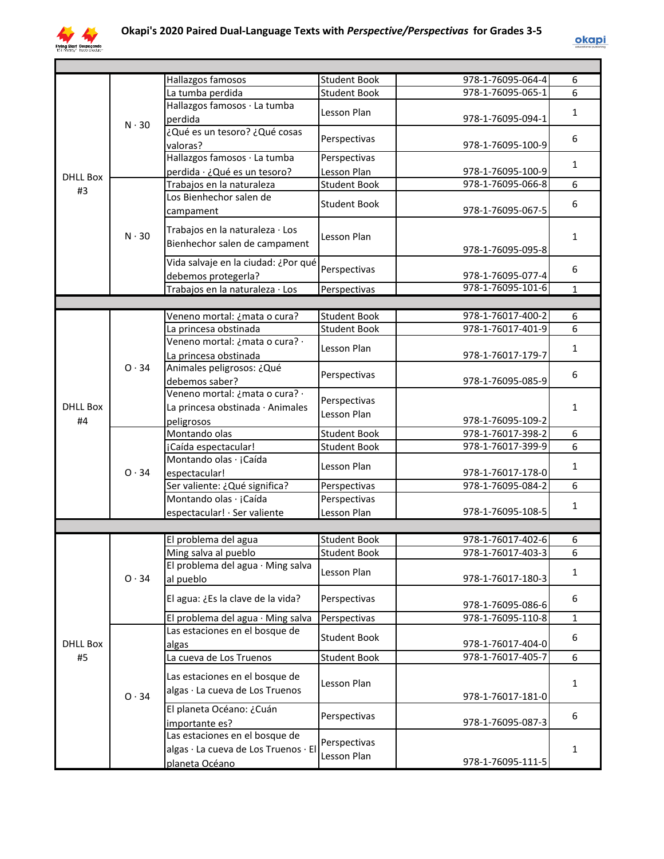

|                 |              | Hallazgos famosos                    | <b>Student Book</b> | 978-1-76095-064-4 | 6            |
|-----------------|--------------|--------------------------------------|---------------------|-------------------|--------------|
|                 |              | La tumba perdida                     | <b>Student Book</b> | 978-1-76095-065-1 | 6            |
|                 |              | Hallazgos famosos · La tumba         |                     |                   |              |
|                 |              | perdida                              | Lesson Plan         | 978-1-76095-094-1 | $\mathbf{1}$ |
|                 | $N \cdot 30$ | ¿Qué es un tesoro? ¿Qué cosas        |                     |                   |              |
|                 |              | valoras?                             | Perspectivas        | 978-1-76095-100-9 | 6            |
|                 |              | Hallazgos famosos · La tumba         | Perspectivas        |                   |              |
|                 |              | perdida · ¿Qué es un tesoro?         | Lesson Plan         | 978-1-76095-100-9 | 1            |
| <b>DHLL Box</b> |              | Trabajos en la naturaleza            | <b>Student Book</b> | 978-1-76095-066-8 | 6            |
| #3              |              | Los Bienhechor salen de              |                     |                   |              |
|                 |              |                                      | <b>Student Book</b> | 978-1-76095-067-5 | 6            |
|                 |              | campament                            |                     |                   |              |
|                 | $N \cdot 30$ | Trabajos en la naturaleza · Los      |                     |                   |              |
|                 |              | Bienhechor salen de campament        | Lesson Plan         |                   | $\mathbf{1}$ |
|                 |              |                                      |                     | 978-1-76095-095-8 |              |
|                 |              | Vida salvaje en la ciudad: ¿Por qué  | Perspectivas        |                   | 6            |
|                 |              | debemos protegerla?                  |                     | 978-1-76095-077-4 |              |
|                 |              | Trabajos en la naturaleza · Los      | Perspectivas        | 978-1-76095-101-6 | $\mathbf{1}$ |
|                 |              |                                      |                     |                   |              |
|                 |              | Veneno mortal: ¿mata o cura?         | Student Book        | 978-1-76017-400-2 | 6            |
|                 |              | La princesa obstinada                | <b>Student Book</b> | 978-1-76017-401-9 | 6            |
|                 |              | Veneno mortal: ¿mata o cura? ·       | Lesson Plan         |                   | 1            |
|                 |              | La princesa obstinada                |                     | 978-1-76017-179-7 |              |
|                 | 0.34         | Animales peligrosos: ¿Qué            | Perspectivas        |                   | 6            |
|                 |              | debemos saber?                       |                     | 978-1-76095-085-9 |              |
|                 |              | Veneno mortal: ¿mata o cura? ·       |                     |                   |              |
| <b>DHLL Box</b> |              | La princesa obstinada · Animales     | Perspectivas        |                   | $\mathbf{1}$ |
| #4              |              | peligrosos                           | Lesson Plan         | 978-1-76095-109-2 |              |
|                 |              | Montando olas                        | <b>Student Book</b> | 978-1-76017-398-2 | 6            |
|                 |              | ¡Caída espectacular!                 | <b>Student Book</b> | 978-1-76017-399-9 | 6            |
|                 |              | Montando olas · ¡Caída               |                     |                   |              |
|                 | 0.34         | espectacular!                        | Lesson Plan         | 978-1-76017-178-0 | $\mathbf{1}$ |
|                 |              | Ser valiente: ¿Qué significa?        | Perspectivas        | 978-1-76095-084-2 | 6            |
|                 |              | Montando olas · ¡Caída               | Perspectivas        |                   |              |
|                 |              | espectacular! · Ser valiente         | Lesson Plan         | 978-1-76095-108-5 | $\mathbf{1}$ |
|                 |              |                                      |                     |                   |              |
|                 |              | El problema del agua                 | <b>Student Book</b> | 978-1-76017-402-6 | 6            |
|                 |              | Ming salva al pueblo                 | <b>Student Book</b> | 978-1-76017-403-3 |              |
|                 |              | El problema del agua · Ming salva    |                     |                   | 6            |
|                 | 0.34         |                                      | Lesson Plan         |                   | $\mathbf{1}$ |
|                 |              | al pueblo                            |                     | 978-1-76017-180-3 |              |
|                 |              | El agua: ¿Es la clave de la vida?    | Perspectivas        |                   | 6            |
|                 |              |                                      |                     | 978-1-76095-086-6 |              |
|                 |              | El problema del agua · Ming salva    | Perspectivas        | 978-1-76095-110-8 | $\mathbf{1}$ |
|                 |              | Las estaciones en el bosque de       | <b>Student Book</b> |                   | 6            |
| <b>DHLL Box</b> |              | algas                                |                     | 978-1-76017-404-0 |              |
| #5              |              | La cueva de Los Truenos              | <b>Student Book</b> | 978-1-76017-405-7 | 6            |
|                 |              | Las estaciones en el bosque de       |                     |                   |              |
|                 |              | algas · La cueva de Los Truenos      | Lesson Plan         |                   | $\mathbf{1}$ |
|                 | 0.34         |                                      |                     | 978-1-76017-181-0 |              |
|                 |              | El planeta Océano: ¿Cuán             | Perspectivas        |                   | 6            |
|                 |              | importante es?                       |                     | 978-1-76095-087-3 |              |
|                 |              | Las estaciones en el bosque de       | Perspectivas        |                   |              |
|                 |              | algas · La cueva de Los Truenos · El | Lesson Plan         |                   | $\mathbf{1}$ |
|                 |              | planeta Océano                       |                     | 978-1-76095-111-5 |              |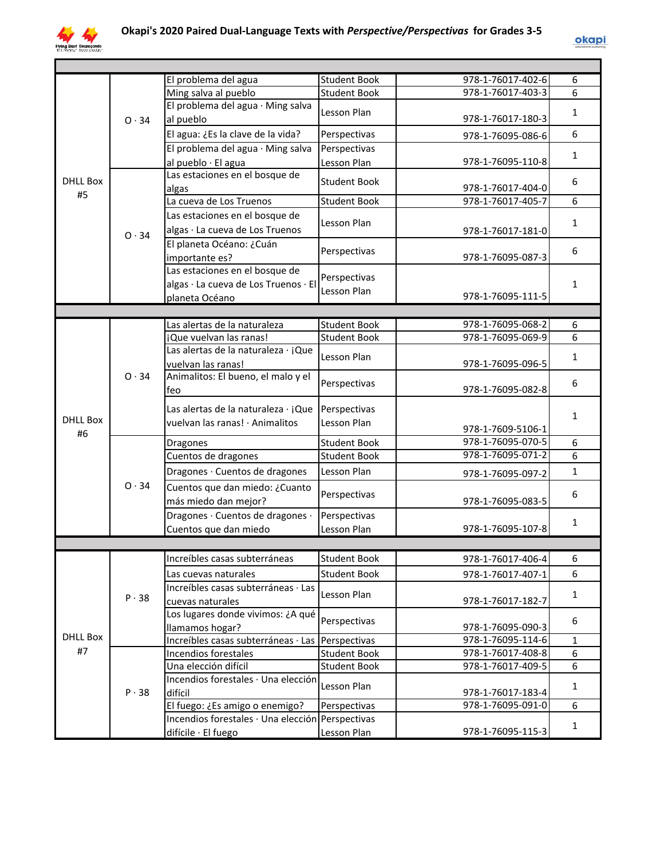

|                 |              | El problema del agua                             | <b>Student Book</b> | 978-1-76017-402-6 | 6            |
|-----------------|--------------|--------------------------------------------------|---------------------|-------------------|--------------|
|                 |              | Ming salva al pueblo                             | <b>Student Book</b> | 978-1-76017-403-3 | 6            |
|                 | $O \cdot 34$ | El problema del agua · Ming salva                | Lesson Plan         |                   |              |
|                 |              | al pueblo                                        |                     | 978-1-76017-180-3 | 1            |
|                 |              | El agua: ¿Es la clave de la vida?                | Perspectivas        | 978-1-76095-086-6 | 6            |
|                 |              | El problema del agua · Ming salva                | Perspectivas        |                   |              |
|                 |              | al pueblo · El agua                              | Lesson Plan         | 978-1-76095-110-8 | 1            |
| <b>DHLL Box</b> |              | Las estaciones en el bosque de                   | <b>Student Book</b> |                   | 6            |
|                 | #5           | algas                                            |                     | 978-1-76017-404-0 |              |
|                 |              | La cueva de Los Truenos                          | <b>Student Book</b> | 978-1-76017-405-7 | 6            |
|                 |              | Las estaciones en el bosque de                   | Lesson Plan         |                   |              |
|                 | 0.34         | algas · La cueva de Los Truenos                  |                     | 978-1-76017-181-0 | 1            |
|                 |              | El planeta Océano: ¿Cuán                         |                     |                   |              |
|                 |              | importante es?                                   | Perspectivas        | 978-1-76095-087-3 | 6            |
|                 |              | Las estaciones en el bosque de                   | Perspectivas        |                   |              |
|                 |              | algas · La cueva de Los Truenos · El             |                     |                   | $\mathbf{1}$ |
|                 |              | planeta Océano                                   | Lesson Plan         | 978-1-76095-111-5 |              |
|                 |              |                                                  |                     |                   |              |
|                 |              | Las alertas de la naturaleza                     | <b>Student Book</b> | 978-1-76095-068-2 | 6            |
|                 |              | ¡Que vuelvan las ranas!                          | <b>Student Book</b> | 978-1-76095-069-9 | 6            |
|                 |              | Las alertas de la naturaleza · ¡Que              | Lesson Plan         |                   | 1            |
|                 |              | vuelvan las ranas!                               |                     | 978-1-76095-096-5 |              |
|                 | 0.34         | Animalitos: El bueno, el malo y el               | Perspectivas        |                   | 6            |
|                 |              | feo                                              |                     | 978-1-76095-082-8 |              |
|                 |              | Las alertas de la naturaleza · ¡Que              | Perspectivas        |                   |              |
| <b>DHLL Box</b> |              | vuelvan las ranas! · Animalitos                  | Lesson Plan         |                   | $\mathbf{1}$ |
| #6              |              |                                                  |                     | 978-1-7609-5106-1 |              |
|                 |              | Dragones                                         | <b>Student Book</b> | 978-1-76095-070-5 | 6            |
|                 |              | Cuentos de dragones                              | <b>Student Book</b> | 978-1-76095-071-2 | 6            |
|                 |              | Dragones · Cuentos de dragones                   | Lesson Plan         | 978-1-76095-097-2 | $\mathbf{1}$ |
|                 | 0.34         | Cuentos que dan miedo: ¿Cuanto                   | Perspectivas        |                   | 6            |
|                 |              | más miedo dan mejor?                             |                     | 978-1-76095-083-5 |              |
|                 |              | Dragones · Cuentos de dragones ·                 | Perspectivas        |                   |              |
|                 |              | Cuentos que dan miedo                            | Lesson Plan         | 978-1-76095-107-8 | 1            |
|                 |              |                                                  |                     |                   |              |
|                 |              | Increíbles casas subterráneas                    | <b>Student Book</b> | 978-1-76017-406-4 | 6            |
|                 |              | Las cuevas naturales                             | <b>Student Book</b> | 978-1-76017-407-1 | 6            |
|                 |              | Increíbles casas subterráneas · Las              |                     |                   |              |
|                 | P.38         | cuevas naturales                                 | Lesson Plan         | 978-1-76017-182-7 | $\mathbf{1}$ |
|                 |              | Los lugares donde vivimos: ¿A qué                |                     |                   |              |
|                 |              | llamamos hogar?                                  | Perspectivas        | 978-1-76095-090-3 | 6            |
| <b>DHLL Box</b> |              | Increíbles casas subterráneas · Las Perspectivas |                     | 978-1-76095-114-6 | $\mathbf{1}$ |
| #7              |              | Incendios forestales                             | <b>Student Book</b> | 978-1-76017-408-8 | 6            |
|                 |              | Una elección difícil                             | <b>Student Book</b> | 978-1-76017-409-5 | 6            |
|                 |              | Incendios forestales · Una elección              | Lesson Plan         |                   | $\mathbf{1}$ |
|                 | P.38         | difícil                                          |                     | 978-1-76017-183-4 |              |
|                 |              | El fuego: ¿Es amigo o enemigo?                   | Perspectivas        | 978-1-76095-091-0 | 6            |
|                 |              | Incendios forestales · Una elección Perspectivas |                     |                   | $\mathbf{1}$ |
|                 |              | difícile · El fuego                              | Lesson Plan         | 978-1-76095-115-3 |              |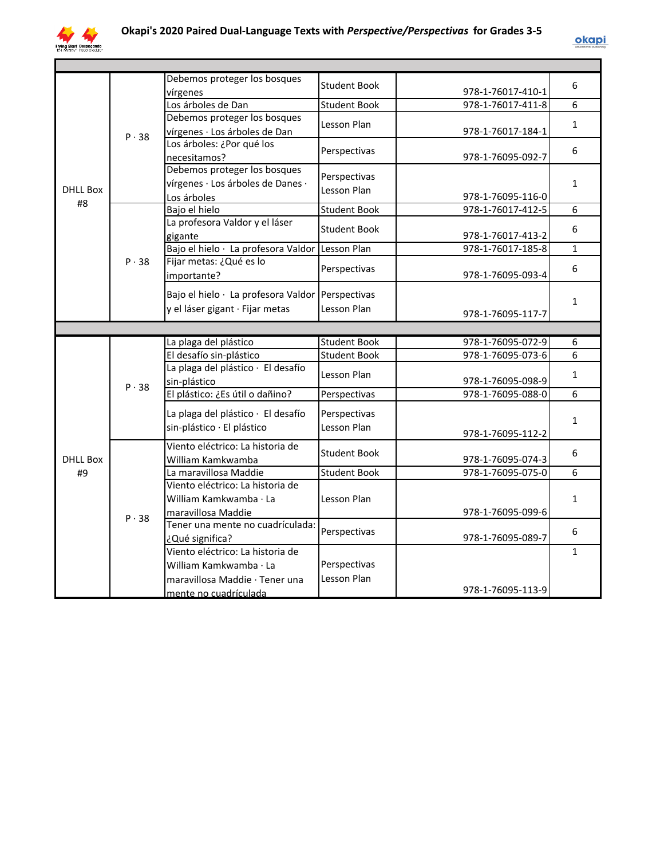

|                 |              | Debemos proteger los bosques                               | <b>Student Book</b> |                   | 6            |
|-----------------|--------------|------------------------------------------------------------|---------------------|-------------------|--------------|
|                 |              | vírgenes                                                   |                     | 978-1-76017-410-1 |              |
|                 |              | Los árboles de Dan<br>Debemos proteger los bosques         | <b>Student Book</b> | 978-1-76017-411-8 | 6            |
|                 |              |                                                            | Lesson Plan         | 978-1-76017-184-1 | $\mathbf{1}$ |
|                 | $P \cdot 38$ | vírgenes · Los árboles de Dan<br>Los árboles: ¿Por qué los |                     |                   |              |
|                 |              | necesitamos?                                               | Perspectivas        | 978-1-76095-092-7 | 6            |
|                 |              | Debemos proteger los bosques                               |                     |                   |              |
|                 |              | vírgenes · Los árboles de Danes ·                          | Perspectivas        |                   | $\mathbf{1}$ |
| <b>DHLL Box</b> |              | Los árboles                                                | Lesson Plan         | 978-1-76095-116-0 |              |
| #8              |              | Bajo el hielo                                              | <b>Student Book</b> | 978-1-76017-412-5 | 6            |
|                 |              | La profesora Valdor y el láser                             |                     |                   |              |
|                 |              | gigante                                                    | <b>Student Book</b> | 978-1-76017-413-2 | 6            |
|                 |              | Bajo el hielo · La profesora Valdor Lesson Plan            |                     | 978-1-76017-185-8 | $\mathbf{1}$ |
|                 | P.38         | Fijar metas: ¿Qué es lo                                    |                     |                   | 6            |
|                 |              | importante?                                                | Perspectivas        | 978-1-76095-093-4 |              |
|                 |              | Bajo el hielo · La profesora Valdor Perspectivas           |                     |                   |              |
|                 |              | y el láser gigant · Fijar metas                            | Lesson Plan         |                   | $\mathbf{1}$ |
|                 |              |                                                            |                     | 978-1-76095-117-7 |              |
|                 |              |                                                            |                     |                   |              |
|                 |              |                                                            |                     |                   |              |
|                 |              | La plaga del plástico                                      | <b>Student Book</b> | 978-1-76095-072-9 | 6            |
|                 |              | El desafío sin-plástico                                    | <b>Student Book</b> | 978-1-76095-073-6 | 6            |
|                 |              | La plaga del plástico · El desafío                         |                     |                   |              |
|                 |              | sin-plástico                                               | Lesson Plan         | 978-1-76095-098-9 | $\mathbf{1}$ |
|                 | P.38         | El plástico: ¿Es útil o dañino?                            | Perspectivas        | 978-1-76095-088-0 | 6            |
|                 |              |                                                            | Perspectivas        |                   |              |
|                 |              | La plaga del plástico · El desafío                         |                     |                   | $\mathbf{1}$ |
|                 |              | sin-plástico · El plástico                                 | Lesson Plan         | 978-1-76095-112-2 |              |
|                 |              | Viento eléctrico: La historia de                           | <b>Student Book</b> |                   | 6            |
| <b>DHLL Box</b> |              | William Kamkwamba                                          |                     | 978-1-76095-074-3 |              |
| #9              |              | La maravillosa Maddie                                      | Student Book        | 978-1-76095-075-0 | 6            |
|                 |              | Viento eléctrico: La historia de                           |                     |                   |              |
|                 |              | William Kamkwamba · La                                     | Lesson Plan         |                   | $\mathbf{1}$ |
|                 | P.38         | maravillosa Maddie                                         |                     | 978-1-76095-099-6 |              |
|                 |              | Tener una mente no cuadrículada:                           | Perspectivas        |                   | 6            |
|                 |              | ¿Qué significa?                                            |                     | 978-1-76095-089-7 |              |
|                 |              | Viento eléctrico: La historia de                           |                     |                   | $\mathbf{1}$ |
|                 |              | William Kamkwamba · La                                     | Perspectivas        |                   |              |
|                 |              | maravillosa Maddie · Tener una<br>mente no cuadrículada    | Lesson Plan         | 978-1-76095-113-9 |              |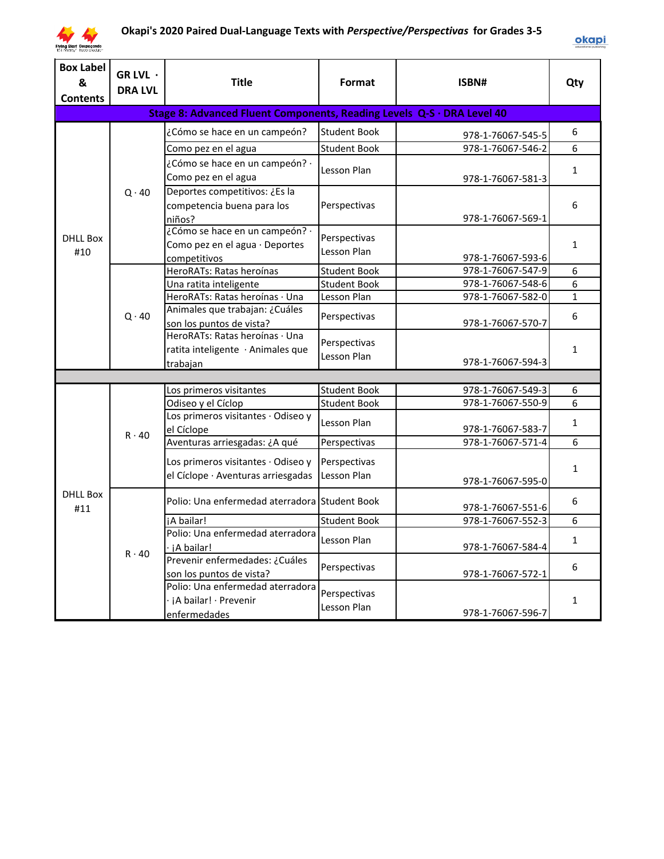

| <b>Box Label</b><br>&<br><b>Contents</b> | GR LVL ·<br><b>DRA LVL</b> | <b>Title</b>                                                           | Format              | ISBN#                                  | Qty          |
|------------------------------------------|----------------------------|------------------------------------------------------------------------|---------------------|----------------------------------------|--------------|
|                                          |                            | Stage 8: Advanced Fluent Components, Reading Levels Q-S · DRA Level 40 |                     |                                        |              |
|                                          |                            | ¿Cómo se hace en un campeón?                                           | <b>Student Book</b> | 978-1-76067-545-5                      | 6            |
|                                          |                            | Como pez en el agua                                                    | <b>Student Book</b> | 978-1-76067-546-2                      | 6            |
|                                          |                            | ¿Cómo se hace en un campeón? ·                                         | Lesson Plan         |                                        |              |
|                                          |                            | Como pez en el agua                                                    |                     | 978-1-76067-581-3                      | $\mathbf{1}$ |
|                                          | $Q \cdot 40$               | Deportes competitivos: ¿Es la                                          |                     |                                        |              |
|                                          |                            | competencia buena para los                                             | Perspectivas        |                                        | 6            |
|                                          |                            | niños?                                                                 |                     | 978-1-76067-569-1                      |              |
| <b>DHLL Box</b>                          |                            | ¿Cómo se hace en un campeón? ·                                         | Perspectivas        |                                        |              |
| #10                                      |                            | Como pez en el agua · Deportes                                         | Lesson Plan         |                                        | $\mathbf{1}$ |
|                                          |                            | competitivos<br>HeroRATs: Ratas heroínas                               | <b>Student Book</b> | 978-1-76067-593-6<br>978-1-76067-547-9 | 6            |
|                                          |                            | Una ratita inteligente                                                 | <b>Student Book</b> | 978-1-76067-548-6                      | 6            |
|                                          |                            | HeroRATs: Ratas heroínas · Una                                         | Lesson Plan         | 978-1-76067-582-0                      | $\mathbf{1}$ |
|                                          |                            | Animales que trabajan: ¿Cuáles                                         |                     |                                        |              |
|                                          | $Q \cdot 40$               | son los puntos de vista?                                               | Perspectivas        | 978-1-76067-570-7                      | 6            |
|                                          |                            | HeroRATs: Ratas heroínas · Una                                         | Perspectivas        |                                        |              |
|                                          |                            | ratita inteligente · Animales que                                      | Lesson Plan         |                                        | $\mathbf{1}$ |
|                                          |                            | trabajan                                                               |                     | 978-1-76067-594-3                      |              |
|                                          |                            |                                                                        |                     |                                        |              |
|                                          |                            | Los primeros visitantes                                                | <b>Student Book</b> | 978-1-76067-549-3<br>978-1-76067-550-9 | 6            |
|                                          |                            | Odiseo y el Cíclop<br>Los primeros visitantes · Odiseo y               | <b>Student Book</b> |                                        | 6            |
|                                          |                            | el Cíclope                                                             | Lesson Plan         | 978-1-76067-583-7                      | $\mathbf{1}$ |
|                                          | $R \cdot 40$               | Aventuras arriesgadas: ¿A qué                                          | Perspectivas        | 978-1-76067-571-4                      | 6            |
|                                          |                            |                                                                        |                     |                                        |              |
|                                          |                            | Los primeros visitantes · Odiseo y                                     | Perspectivas        |                                        | $\mathbf{1}$ |
|                                          |                            | el Cíclope · Aventuras arriesgadas                                     | Lesson Plan         | 978-1-76067-595-0                      |              |
| <b>DHLL Box</b><br>#11                   |                            | Polio: Una enfermedad aterradora Student Book                          |                     | 978-1-76067-551-6                      | 6            |
|                                          |                            | iA bailar!                                                             | <b>Student Book</b> | 978-1-76067-552-3                      | 6            |
|                                          |                            | Polio: Una enfermedad aterradora                                       | Lesson Plan         |                                        | $\mathbf{1}$ |
|                                          | $R \cdot 40$               | ∙ iA bailar!                                                           |                     | 978-1-76067-584-4                      |              |
|                                          |                            | Prevenir enfermedades: ¿Cuáles                                         | Perspectivas        |                                        | 6            |
|                                          |                            | son los puntos de vista?                                               |                     | 978-1-76067-572-1                      |              |
|                                          |                            | Polio: Una enfermedad aterradora                                       | Perspectivas        |                                        |              |
|                                          |                            | iA bailar! · Prevenir                                                  | Lesson Plan         | 978-1-76067-596-7                      | $\mathbf{1}$ |
|                                          |                            | enfermedades                                                           |                     |                                        |              |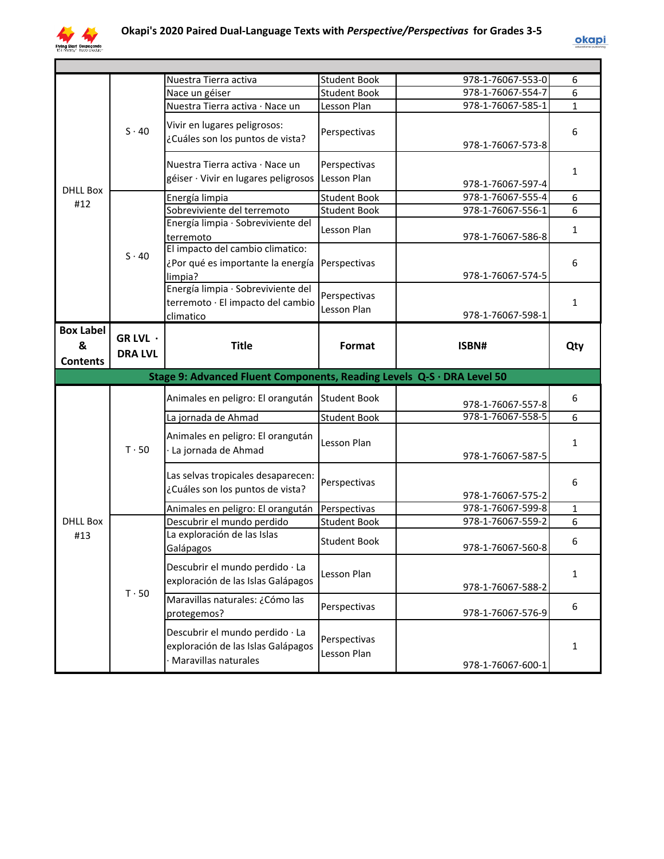

| <b>DHLL Box</b><br>#12                   | $S \cdot 40$                     | Nuestra Tierra activa                                                                | <b>Student Book</b>         | 978-1-76067-553-0 | 6            |
|------------------------------------------|----------------------------------|--------------------------------------------------------------------------------------|-----------------------------|-------------------|--------------|
|                                          |                                  | Nace un géiser                                                                       | <b>Student Book</b>         | 978-1-76067-554-7 | 6            |
|                                          |                                  | Nuestra Tierra activa · Nace un                                                      | Lesson Plan                 | 978-1-76067-585-1 | 1            |
|                                          |                                  | Vivir en lugares peligrosos:<br>¿Cuáles son los puntos de vista?                     | Perspectivas                | 978-1-76067-573-8 | 6            |
|                                          |                                  | Nuestra Tierra activa · Nace un<br>géiser · Vivir en lugares peligrosos Lesson Plan  | Perspectivas                | 978-1-76067-597-4 | 1            |
|                                          |                                  | Energía limpia                                                                       | <b>Student Book</b>         | 978-1-76067-555-4 | 6            |
|                                          | $S \cdot 40$                     | Sobreviviente del terremoto                                                          | <b>Student Book</b>         | 978-1-76067-556-1 | 6            |
|                                          |                                  | Energía limpia · Sobreviviente del<br>terremoto                                      | Lesson Plan                 | 978-1-76067-586-8 | $\mathbf{1}$ |
|                                          |                                  | El impacto del cambio climatico:<br>¿Por qué es importante la energía<br>limpia?     | Perspectivas                | 978-1-76067-574-5 | 6            |
|                                          |                                  | Energía limpia · Sobreviviente del<br>terremoto · El impacto del cambio<br>climatico | Perspectivas<br>Lesson Plan | 978-1-76067-598-1 | 1            |
| <b>Box Label</b><br>&<br><b>Contents</b> | GR LVL $\cdot$<br><b>DRA LVL</b> | <b>Title</b>                                                                         | Format                      | ISBN#             | Qty          |
|                                          |                                  |                                                                                      |                             |                   |              |
|                                          |                                  | Stage 9: Advanced Fluent Components, Reading Levels Q-S · DRA Level 50               |                             |                   |              |
|                                          |                                  | Animales en peligro: El orangután Student Book                                       |                             | 978-1-76067-557-8 | 6            |
|                                          |                                  | La jornada de Ahmad                                                                  | <b>Student Book</b>         | 978-1-76067-558-5 | 6            |
|                                          | $T \cdot 50$                     | Animales en peligro: El orangután<br>La jornada de Ahmad                             | Lesson Plan                 | 978-1-76067-587-5 | $\mathbf{1}$ |
|                                          |                                  | Las selvas tropicales desaparecen:<br>¿Cuáles son los puntos de vista?               | Perspectivas                | 978-1-76067-575-2 | 6            |
|                                          |                                  |                                                                                      | Perspectivas                | 978-1-76067-599-8 | $\mathbf{1}$ |
| <b>DHLL Box</b>                          |                                  | Animales en peligro: El orangután<br>Descubrir el mundo perdido                      | <b>Student Book</b>         | 978-1-76067-559-2 | 6            |
| #13                                      |                                  | La exploración de las Islas<br>Galápagos                                             | <b>Student Book</b>         | 978-1-76067-560-8 | 6            |
|                                          |                                  | Descubrir el mundo perdido · La<br>exploración de las Islas Galápagos                | Lesson Plan                 | 978-1-76067-588-2 | $\mathbf{1}$ |
|                                          | $T \cdot 50$                     | Maravillas naturales: ¿Cómo las<br>protegemos?                                       | Perspectivas                | 978-1-76067-576-9 | 6            |